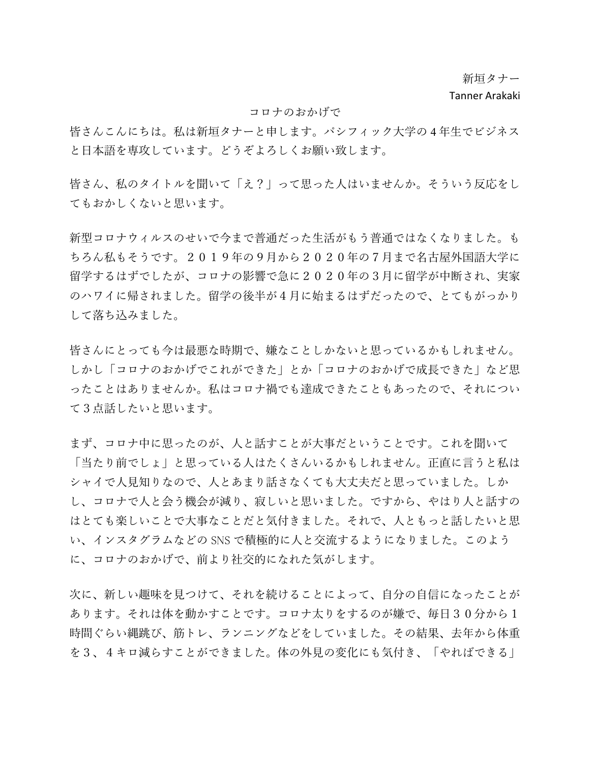新垣タナー

## Tanner Arakaki

## コロナのおかげで

皆さんこんにちは。私は新垣タナーと申します。パシフィック大学の 4 年生でビジネス と日本語を専攻しています。どうぞよろしくお願い致します。

皆さん、私のタイトルを聞いて「え?」って思った人はいませんか。そういう反応をし てもおかしくないと思います。

新型コロナウィルスのせいで今まで普通だった生活がもう普通ではなくなりました。も ちろん私もそうです。2019年の9月から2020年の7月まで名古屋外国語大学に 留学するはずでしたが、コロナの影響で急に2020年の3月に留学が中断され、実家 のハワイに帰されました。留学の後半が4月に始まるはずだったので、とてもがっかり して落ち込みました。

皆さんにとっても今は最悪な時期で、嫌なことしかないと思っているかもしれません。 しかし「コロナのおかげでこれができた」とか「コロナのおかげで成長できた」など思 ったことはありませんか。私はコロナ禍でも達成できたこともあったので、それについ て3点話したいと思います。

まず、コロナ中に思ったのが、人と話すことが大事だということです。これを聞いて 「当たり前でしょ」と思っている人はたくさんいるかもしれません。正直に言うと私は シャイで人見知りなので、人とあまり話さなくても大丈夫だと思っていました。しか し、コロナで人と会う機会が減り、寂しいと思いました。ですから、やはり人と話すの はとても楽しいことで大事なことだと気付きました。それで、人ともっと話したいと思 い、インスタグラムなどの SNS で積極的に人と交流するようになりました。このよう に、コロナのおかげで、前より社交的になれた気がします。

次に、新しい趣味を見つけて、それを続けることによって、自分の自信になったことが あります。それは体を動かすことです。コロナ太りをするのが嫌で、毎日30分から1 時間ぐらい縄跳び、筋トレ、ランニングなどをしていました。その結果、去年から体重 を3、4キロ減らすことができました。体の外見の変化にも気付き、「やればできる」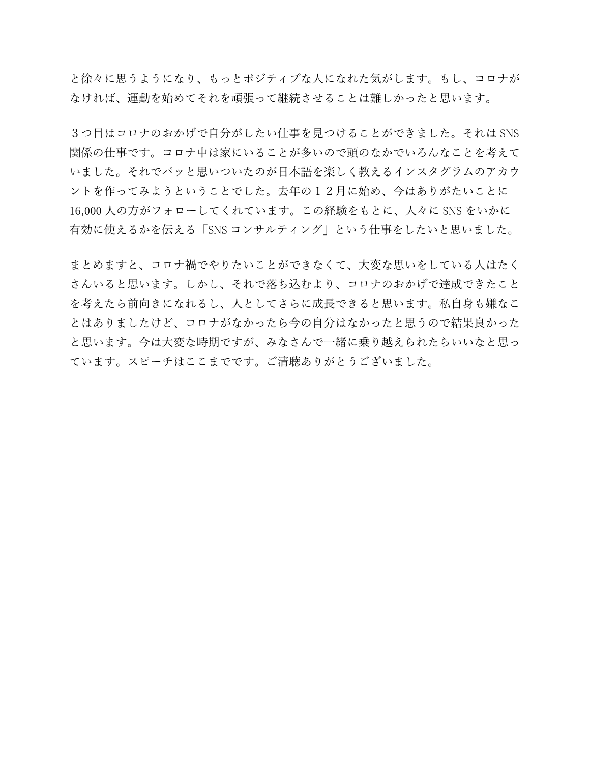と徐々に思うようになり、もっとポジティブな人になれた気がします。もし、コロナが なければ、運動を始めてそれを頑張って継続させることは難しかったと思います。

3つ目はコロナのおかげで自分がしたい仕事を見つけることができました。それは SNS 関係の仕事です。コロナ中は家にいることが多いので頭のなかでいろんなことを考えて いました。それでパッと思いついたのが日本語を楽しく教えるインスタグラムのアカウ ントを作ってみようということでした。去年の12月に始め、今はありがたいことに 16,000 人の方がフォローしてくれています。この経験をもとに、人々に SNS をいかに 有効に使えるかを伝える「SNS コンサルティング」という仕事をしたいと思いました。

まとめますと、コロナ禍でやりたいことができなくて、大変な思いをしている人はたく さんいると思います。しかし、それで落ち込むより、コロナのおかげで達成できたこと を考えたら前向きになれるし、人としてさらに成長できると思います。私自身も嫌なこ とはありましたけど、コロナがなかったら今の自分はなかったと思うので結果良かった と思います。今は大変な時期ですが、みなさんで一緒に乗り越えられたらいいなと思っ ています。スピーチはここまでです。ご清聴ありがとうございました。